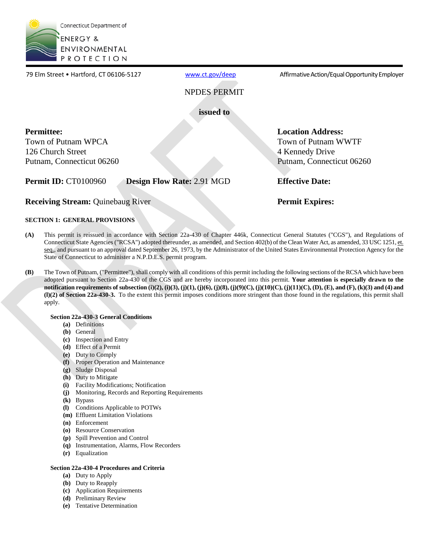

79 Elm Street . Hartford, CT 06106-5127

[www.ct.gov/deep](http://www.ct.gov/deep) **Affirmative Action/Equal Opportunity Employer** 

NPDES PERMIT

**issued to** 

### **Permittee:**

Town of Putnam WPCA 126 Church Street Putnam, Connecticut 06260

### **Permit ID:** CT0100960 **Design Flow Rate:** 2.91 MGD **Effective Date:**

**Receiving Stream:** Quinebaug River **Permit Expires: Permit Expires:** 

 **Location Address:** 

4 Kennedy Drive

Town of Putnam WWTF

Putnam, Connecticut 06260

### **SECTION 1: GENERAL PROVISIONS**

- **(A)** This permit is reissued in accordance with Section 22a-430 of Chapter 446k, Connecticut General Statutes ("CGS"), and Regulations of Connecticut State Agencies ("RCSA") adopted thereunder, as amended, and Section 402(b) of the Clean Water Act, as amended, 33 USC 1251, et. seq., and pursuant to an approval dated September 26, 1973, by the Administrator of the United States Environmental Protection Agency for the State of Connecticut to administer a N.P.D.E.S. permit program.
- **(B)** The Town of Putnam, ("Permittee"), shall comply with all conditions of this permit including the following sections of the RCSA which have been adopted pursuant to Section 22a-430 of the CGS and are hereby incorporated into this permit. **Your attention is especially drawn to the notification requirements of subsection (i)(2), (i)(3), (j)(1), (j)(6), (j)(8), (j)(9)(C), (j)(10)(C), (j)(11)(C), (D), (E), and (F), (k)(3) and (4) and (l)(2) of Section 22a-430-3.** To the extent this permit imposes conditions more stringent than those found in the regulations, this permit shall apply.

### **Section 22a-430-3 General Conditions**

- **(a)** Definitions
- **(b)** General
- **(c)** Inspection and Entry
- **(d)** Effect of a Permit
- **(e)** Duty to Comply
- **(f)** Proper Operation and Maintenance
- **(g)** Sludge Disposal
- **(h)** Duty to Mitigate
- **(i)** Facility Modifications; Notification
- **(j)** Monitoring, Records and Reporting Requirements
- **(k)** Bypass
- **(l)** Conditions Applicable to POTWs
- **(m)** Effluent Limitation Violations
- **(n)** Enforcement
- **(o)** Resource Conservation
- **(p)** Spill Prevention and Control
- **(q)** Instrumentation, Alarms, Flow Recorders
- **(r)** Equalization

### **Section 22a-430-4 Procedures and Criteria**

- **(a)** Duty to Apply
- **(b)** Duty to Reapply
- **(c)** Application Requirements
- **(d)** Preliminary Review
- **(e)** Tentative Determination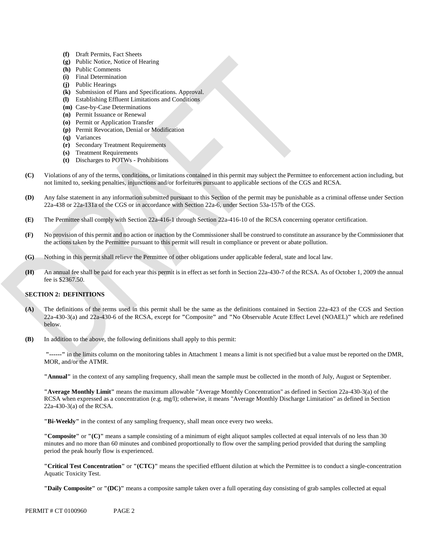- **(f)** Draft Permits, Fact Sheets
- **(g)** Public Notice, Notice of Hearing
- **(h)** Public Comments
- **(i)** Final Determination
- **(j)** Public Hearings
- **(k)**  Submission of Plans and Specifications. Approval.
- **(l)** Establishing Effluent Limitations and Conditions
- **(m)**  Case-by-Case Determinations
- **(n)** Permit Issuance or Renewal
- **(o)** Permit or Application Transfer
- **(p)** Permit Revocation, Denial or Modification
- **(q)** Variances
- **(r)** Secondary Treatment Requirements
- **(s)** Treatment Requirements
- **(t)** Discharges to POTWs Prohibitions
- Violations of any of the terms, conditions, or limitations contained in this permit may subject the Permittee to enforcement action including, but **(C)** not limited to, seeking penalties, injunctions and/or forfeitures pursuant to applicable sections of the CGS and RCSA.
- **(D)** Any false statement in any information submitted pursuant to this Section of the permit may be punishable as a criminal offense under Section 22a-438 or 22a-131a of the CGS or in accordance with Section 22a-6, under Section 53a-157b of the CGS.
- **(E)** The Permittee shall comply with Section 22a-416-1 through Section 22a-416-10 of the RCSA concerning operator certification.
- No provision of this permit and no action or inaction by the Commissioner shall be construed to constitute an assurance by the Commissioner that **(F)** the actions taken by the Permittee pursuant to this permit will result in compliance or prevent or abate pollution.
- **(G)** Nothing in this permit shall relieve the Permittee of other obligations under applicable federal, state and local law.
- An annual fee shall be paid for each year this permit is in effect as set forth in Section 22a-430-7 of the RCSA. As of October 1, 2009 the annual **(H)** fee is \$2367.50.

#### **SECTION 2: DEFINITIONS**

- **(A)** The definitions of the terms used in this permit shall be the same as the definitions contained in Section 22a-423 of the CGS and Section 22a-430-3(a) and 22a-430-6 of the RCSA, except for **"**Composite**"** and **"**No Observable Acute Effect Level (NOAEL)**"** which are redefined below.
- **(B)** In addition to the above, the following definitions shall apply to this permit:

**"------"** in the limits column on the monitoring tables in Attachment 1 means a limit is not specified but a value must be reported on the DMR, MOR, and/or the ATMR.

**"Annual"** in the context of any sampling frequency, shall mean the sample must be collected in the month of July, August or September.

**"Average Monthly Limit"** means the maximum allowable "Average Monthly Concentration" as defined in Section 22a-430-3(a) of the RCSA when expressed as a concentration (e.g. mg/l); otherwise, it means "Average Monthly Discharge Limitation" as defined in Section 22a-430-3(a) of the RCSA.

**"Bi-Weekly"** in the context of any sampling frequency, shall mean once every two weeks.

**"Composite"** or **"(C)"** means a sample consisting of a minimum of eight aliquot samples collected at equal intervals of no less than 30 minutes and no more than 60 minutes and combined proportionally to flow over the sampling period provided that during the sampling period the peak hourly flow is experienced.

**"Critical Test Concentration"** or **"(CTC)"** means the specified effluent dilution at which the Permittee is to conduct a single-concentration Aquatic Toxicity Test.

**"Daily Composite"** or **"(DC)"** means a composite sample taken over a full operating day consisting of grab samples collected at equal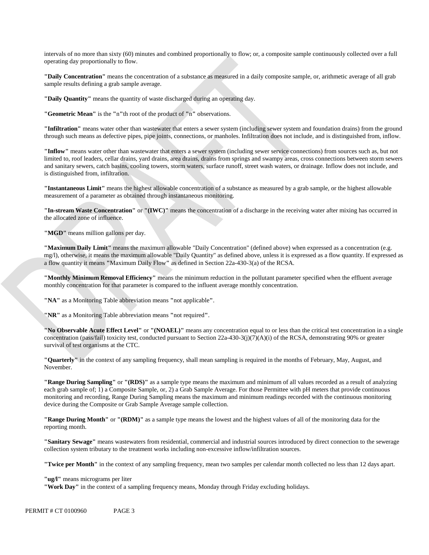intervals of no more than sixty (60) minutes and combined proportionally to flow; or, a composite sample continuously collected over a full operating day proportionally to flow.

**"Daily Concentration"** means the concentration of a substance as measured in a daily composite sample, or, arithmetic average of all grab sample results defining a grab sample average.

**"Daily Quantity"** means the quantity of waste discharged during an operating day.

**"Geometric Mean"** is the **"**n**"**th root of the product of **"**n**"** observations.

**"Infiltration"** means water other than wastewater that enters a sewer system (including sewer system and foundation drains) from the ground through such means as defective pipes, pipe joints, connections, or manholes. Infiltration does not include, and is distinguished from, inflow.

 is distinguished from, infiltration. **"Inflow"** means water other than wastewater that enters a sewer system (including sewer service connections) from sources such as, but not limited to, roof leaders, cellar drains, yard drains, area drains, drains from springs and swampy areas, cross connections between storm sewers and sanitary sewers, catch basins, cooling towers, storm waters, surface runoff, street wash waters, or drainage. Inflow does not include, and

**"Instantaneous Limit"** means the highest allowable concentration of a substance as measured by a grab sample, or the highest allowable measurement of a parameter as obtained through instantaneous monitoring.

**"In-stream Waste Concentration"** or **"(IWC)"** means the concentration of a discharge in the receiving water after mixing has occurred in the allocated zone of influence.

"MGD" means million gallons per day.

**"Maximum Daily Limit"** means the maximum allowable "Daily Concentration" (defined above) when expressed as a concentration (e.g. mg/l), otherwise, it means the maximum allowable "Daily Quantity" as defined above, unless it is expressed as a flow quantity. If expressed as a flow quantity it means **"**Maximum Daily Flow**"** as defined in Section 22a-430-3(a) of the RCSA.

**"Monthly Minimum Removal Efficiency"** means the minimum reduction in the pollutant parameter specified when the effluent average monthly concentration for that parameter is compared to the influent average monthly concentration.

**"NA"** as a Monitoring Table abbreviation means **"**not applicable**"**.

**"NR"** as a Monitoring Table abbreviation means **"**not required**"**.

**"No Observable Acute Effect Level"** or **"(NOAEL)"** means any concentration equal to or less than the critical test concentration in a single concentration (pass/fail) toxicity test, conducted pursuant to Section 22a-430-3(j)(7)(A)(i) of the RCSA, demonstrating 90% or greater survival of test organisms at the CTC.

**"Quarterly"** in the context of any sampling frequency, shall mean sampling is required in the months of February, May, August, and November.

**"Range During Sampling"** or **"(RDS)"** as a sample type means the maximum and minimum of all values recorded as a result of analyzing each grab sample of; 1) a Composite Sample, or, 2) a Grab Sample Average. For those Permittee with pH meters that provide continuous monitoring and recording, Range During Sampling means the maximum and minimum readings recorded with the continuous monitoring device during the Composite or Grab Sample Average sample collection.

**"Range During Month"** or **"(RDM)"** as a sample type means the lowest and the highest values of all of the monitoring data for the reporting month.

**"Sanitary Sewage"** means wastewaters from residential, commercial and industrial sources introduced by direct connection to the sewerage collection system tributary to the treatment works including non-excessive inflow/infiltration sources.

**"Twice per Month"** in the context of any sampling frequency, mean two samples per calendar month collected no less than 12 days apart.

**"ug/l"** means micrograms per liter

**"Work Day"** in the context of a sampling frequency means, Monday through Friday excluding holidays.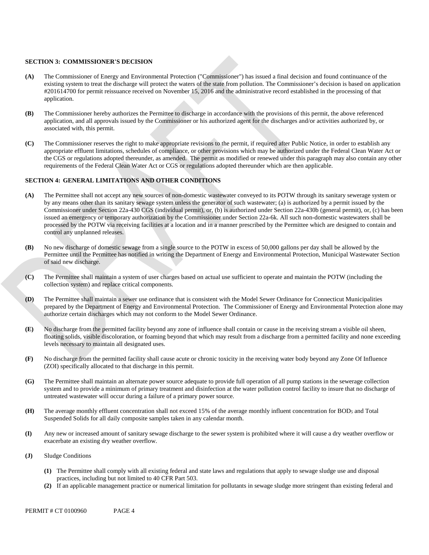#### **SECTION 3: COMMISSIONER'S DECISION**

- **(A)** The Commissioner of Energy and Environmental Protection ("Commissioner") has issued a final decision and found continuance of the existing system to treat the discharge will protect the waters of the state from pollution. The Commissioner's decision is based on application #201614700 for permit reissuance received on November 15, 2016 and the administrative record established in the processing of that application.
- **(B)** The Commissioner hereby authorizes the Permittee to discharge in accordance with the provisions of this permit, the above referenced application, and all approvals issued by the Commissioner or his authorized agent for the discharges and/or activities authorized by, or associated with, this permit.
- **(C)** The Commissioner reserves the right to make appropriate revisions to the permit, if required after Public Notice, in order to establish any appropriate effluent limitations, schedules of compliance, or other provisions which may be authorized under the Federal Clean Water Act or the CGS or regulations adopted thereunder, as amended. The permit as modified or renewed under this paragraph may also contain any other requirements of the Federal Clean Water Act or CGS or regulations adopted thereunder which are then applicable.

#### **SECTION 4: GENERAL LIMITATIONS AND OTHER CONDITIONS**

- **(A)** The Permittee shall not accept any new sources of non-domestic wastewater conveyed to its POTW through its sanitary sewerage system or by any means other than its sanitary sewage system unless the generator of such wastewater; (a) is authorized by a permit issued by the Commissioner under Section 22a-430 CGS (individual permit), or, (b) is authorized under Section 22a-430b (general permit), or, (c) has been issued an emergency or temporary authorization by the Commissioner under Section 22a-6k. All such non-domestic wastewaters shall be processed by the POTW via receiving facilities at a location and in a manner prescribed by the Permittee which are designed to contain and control any unplanned releases.
- **(B)** No new discharge of domestic sewage from a single source to the POTW in excess of 50,000 gallons per day shall be allowed by the Permittee until the Permittee has notified in writing the Department of Energy and Environmental Protection, Municipal Wastewater Section of said new discharge.
- **(C)** The Permittee shall maintain a system of user charges based on actual use sufficient to operate and maintain the POTW (including the collection system) and replace critical components.
- **(D)** The Permittee shall maintain a sewer use ordinance that is consistent with the Model Sewer Ordinance for Connecticut Municipalities prepared by the Department of Energy and Environmental Protection. The Commissioner of Energy and Environmental Protection alone may authorize certain discharges which may not conform to the Model Sewer Ordinance.
- **(E)** No discharge from the permitted facility beyond any zone of influence shall contain or cause in the receiving stream a visible oil sheen, floating solids, visible discoloration, or foaming beyond that which may result from a discharge from a permitted facility and none exceeding levels necessary to maintain all designated uses.
- **(F)** No discharge from the permitted facility shall cause acute or chronic toxicity in the receiving water body beyond any Zone Of Influence (ZOI) specifically allocated to that discharge in this permit.
- **(G)** The Permittee shall maintain an alternate power source adequate to provide full operation of all pump stations in the sewerage collection system and to provide a minimum of primary treatment and disinfection at the water pollution control facility to insure that no discharge of untreated wastewater will occur during a failure of a primary power source.
- **(H)** The average monthly effluent concentration shall not exceed 15% of the average monthly influent concentration for BOD5 and Total Suspended Solids for all daily composite samples taken in any calendar month.
- **(I)** Any new or increased amount of sanitary sewage discharge to the sewer system is prohibited where it will cause a dry weather overflow or exacerbate an existing dry weather overflow.
- **(J)** Sludge Conditions
	- **(1)** The Permittee shall comply with all existing federal and state laws and regulations that apply to sewage sludge use and disposal practices, including but not limited to 40 CFR Part 503.
	- **(2)** If an applicable management practice or numerical limitation for pollutants in sewage sludge more stringent than existing federal and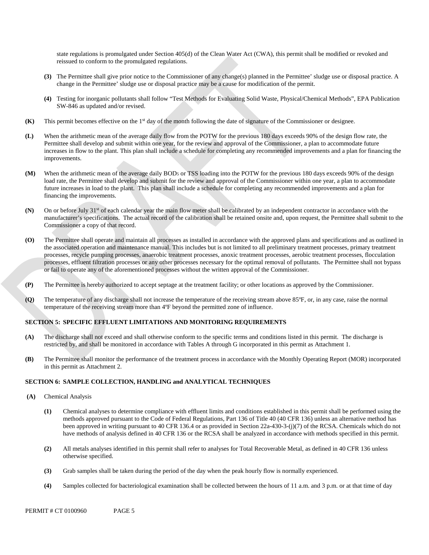state regulations is promulgated under Section 405(d) of the Clean Water Act (CWA), this permit shall be modified or revoked and reissued to conform to the promulgated regulations.

- **(3)** The Permittee shall give prior notice to the Commissioner of any change(s) planned in the Permittee' sludge use or disposal practice. A change in the Permittee' sludge use or disposal practice may be a cause for modification of the permit.
- **(4)** Testing for inorganic pollutants shall follow "Test Methods for Evaluating Solid Waste, Physical/Chemical Methods", EPA Publication SW-846 as updated and/or revised.
- **(K)** This permit becomes effective on the 1<sup>st</sup> day of the month following the date of signature of the Commissioner or designee.
- improvements. **(L)** When the arithmetic mean of the average daily flow from the POTW for the previous 180 days exceeds 90% of the design flow rate, the Permittee shall develop and submit within one year, for the review and approval of the Commissioner, a plan to accommodate future increases in flow to the plant. This plan shall include a schedule for completing any recommended improvements and a plan for financing the
- future increases in load to the plant. This plan shall include a schedule for completing any recommended improvements and a plan for **(M)** When the arithmetic mean of the average daily BOD<sub>5</sub> or TSS loading into the POTW for the previous 180 days exceeds 90% of the design load rate, the Permittee shall develop and submit for the review and approval of the Commissioner within one year, a plan to accommodate financing the improvements.
- **(N)** On or before July 31<sup>st</sup> of each calendar year the main flow meter shall be calibrated by an independent contractor in accordance with the manufacturer's specifications. The actual record of the calibration shall be retained onsite and, upon request, the Permittee shall submit to the Commissioner a copy of that record.
- **(O)** The Permittee shall operate and maintain all processes as installed in accordance with the approved plans and specifications and as outlined in the associated operation and maintenance manual. This includes but is not limited to all preliminary treatment processes, primary treatment processes, recycle pumping processes, anaerobic treatment processes, anoxic treatment processes, aerobic treatment processes, flocculation processes, effluent filtration processes or any other processes necessary for the optimal removal of pollutants. The Permittee shall not bypass or fail to operate any of the aforementioned processes without the written approval of the Commissioner.
- **(P)** The Permittee is hereby authorized to accept septage at the treatment facility; or other locations as approved by the Commissioner.
- **(Q)** The temperature of any discharge shall not increase the temperature of the receiving stream above 85°F, or, in any case, raise the normal temperature of the receiving stream more than 4ºF beyond the permitted zone of influence.

### **SECTION 5: SPECIFIC EFFLUENT LIMITATIONS AND MONITORING REQUIREMENTS**

- **(A)** The discharge shall not exceed and shall otherwise conform to the specific terms and conditions listed in this permit. The discharge is restricted by, and shall be monitored in accordance with Tables A through G incorporated in this permit as Attachment 1.
- in this permit as Attachment 2. **(B)** The Permittee shall monitor the performance of the treatment process in accordance with the Monthly Operating Report (MOR) incorporated

### **SECTION 6: SAMPLE COLLECTION, HANDLING and ANALYTICAL TECHNIQUES**

- **(A)** Chemical Analysis
	- **(1)** Chemical analyses to determine compliance with effluent limits and conditions established in this permit shall be performed using the methods approved pursuant to the Code of Federal Regulations, Part 136 of Title 40 (40 CFR 136) unless an alternative method has been approved in writing pursuant to 40 CFR 136.4 or as provided in Section 22a-430-3-(j)(7) of the RCSA. Chemicals which do not have methods of analysis defined in 40 CFR 136 or the RCSA shall be analyzed in accordance with methods specified in this permit.
	- **(2)** All metals analyses identified in this permit shall refer to analyses for Total Recoverable Metal, as defined in 40 CFR 136 unless otherwise specified.
	- **(3)** Grab samples shall be taken during the period of the day when the peak hourly flow is normally experienced.
	- **(4)** Samples collected for bacteriological examination shall be collected between the hours of 11 a.m. and 3 p.m. or at that time of day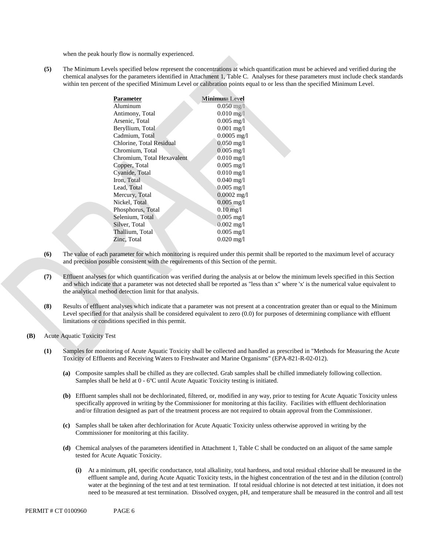when the peak hourly flow is normally experienced.

chemical analyses for the parameters identified in Attachment 1, Table C. Analyses for these parameters must include check standards within ten percent of the specified Minimum Level or calibration points equal to or less than the specified Minimum Level. **(5)** The Minimum Levels specified below represent the concentrations at which quantification must be achieved and verified during the

| Parameter                  | <b>Minimum Level</b>    |
|----------------------------|-------------------------|
| Aluminum                   | $0.050 \,\mathrm{mg}/l$ |
| Antimony, Total            | $0.010 \,\mathrm{mg}/l$ |
| Arsenic, Total             | $0.005$ mg/l            |
| Beryllium, Total           | $0.001$ mg/l            |
| Cadmium, Total             | $0.0005$ mg/l           |
| Chlorine, Total Residual   | $0.050 \,\mathrm{mg}/l$ |
| Chromium, Total            | $0.005 \text{ mg/l}$    |
| Chromium, Total Hexavalent | $0.010$ mg/l            |
| Copper, Total              | $0.005$ mg/l            |
| Cyanide, Total             | $0.010$ mg/l            |
| Iron, Total                | $0.040 \text{ mg}/1$    |
| Lead, Total                | $0.005$ mg/l            |
| Mercury, Total             | $0.0002$ mg/l           |
| Nickel, Total              | $0.005$ mg/l            |
| Phosphorus, Total          | $0.10 \,\mathrm{mg}/l$  |
| Selenium, Total            | $0.005$ mg/l            |
| Silver, Total              | $0.002$ mg/l            |
| Thallium, Total            | $0.005$ mg/l            |
| Zinc, Total                | $0.020 \text{ mg/l}$    |
|                            |                         |

- **(6)** The value of each parameter for which monitoring is required under this permit shall be reported to the maximum level of accuracy and precision possible consistent with the requirements of this Section of the permit.
- **(7)** Effluent analyses for which quantification was verified during the analysis at or below the minimum levels specified in this Section and which indicate that a parameter was not detected shall be reported as "less than x" where 'x' is the numerical value equivalent to the analytical method detection limit for that analysis.
- **(8)** Results of effluent analyses which indicate that a parameter was not present at a concentration greater than or equal to the Minimum Level specified for that analysis shall be considered equivalent to zero (0.0) for purposes of determining compliance with effluent limitations or conditions specified in this permit.
- **(B)** Acute Aquatic Toxicity Test
	- **(1)** Samples for monitoring of Acute Aquatic Toxicity shall be collected and handled as prescribed in "Methods for Measuring the Acute Toxicity of Effluents and Receiving Waters to Freshwater and Marine Organisms" (EPA-821-R-02-012).
		- **(a)** Composite samples shall be chilled as they are collected. Grab samples shall be chilled immediately following collection. Samples shall be held at 0 - 6ºC until Acute Aquatic Toxicity testing is initiated.
		- **(b)** Effluent samples shall not be dechlorinated, filtered, or, modified in any way, prior to testing for Acute Aquatic Toxicity unless specifically approved in writing by the Commissioner for monitoring at this facility. Facilities with effluent dechlorination and/or filtration designed as part of the treatment process are not required to obtain approval from the Commissioner.
		- **(c)** Samples shall be taken after dechlorination for Acute Aquatic Toxicity unless otherwise approved in writing by the Commissioner for monitoring at this facility.
		- **(d)** Chemical analyses of the parameters identified in Attachment 1, Table C shall be conducted on an aliquot of the same sample tested for Acute Aquatic Toxicity.
			- **(i)** At a minimum, pH, specific conductance, total alkalinity, total hardness, and total residual chlorine shall be measured in the effluent sample and, during Acute Aquatic Toxicity tests, in the highest concentration of the test and in the dilution (control) water at the beginning of the test and at test termination. If total residual chlorine is not detected at test initiation, it does not need to be measured at test termination. Dissolved oxygen, pH, and temperature shall be measured in the control and all test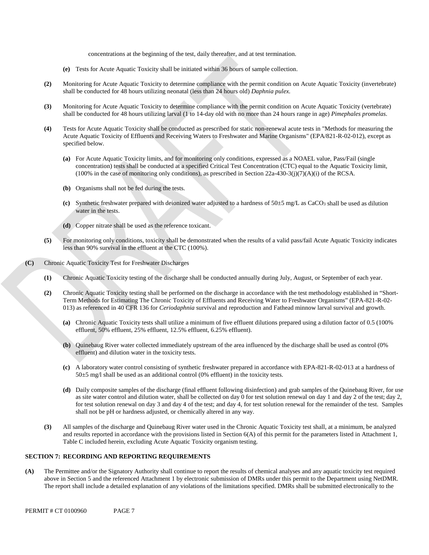concentrations at the beginning of the test, daily thereafter, and at test termination.

- **(e)** Tests for Acute Aquatic Toxicity shall be initiated within 36 hours of sample collection.
- **(2)** Monitoring for Acute Aquatic Toxicity to determine compliance with the permit condition on Acute Aquatic Toxicity (invertebrate) shall be conducted for 48 hours utilizing neonatal (less than 24 hours old) *Daphnia pulex*.
- **(3)** Monitoring for Acute Aquatic Toxicity to determine compliance with the permit condition on Acute Aquatic Toxicity (vertebrate) shall be conducted for 48 hours utilizing larval (1 to 14-day old with no more than 24 hours range in age) *Pimephales promelas*.
- **(4)** Tests for Acute Aquatic Toxicity shall be conducted as prescribed for static non-renewal acute tests in "Methods for measuring the Acute Aquatic Toxicity of Effluents and Receiving Waters to Freshwater and Marine Organisms" (EPA/821-R-02-012), except as specified below.
	- **(a)** For Acute Aquatic Toxicity limits, and for monitoring only conditions, expressed as a NOAEL value, Pass/Fail (single concentration) tests shall be conducted at a specified Critical Test Concentration (CTC) equal to the Aquatic Toxicity limit,  $(100\%$  in the case of monitoring only conditions), as prescribed in Section 22a-430-3(j)(7)(A)(i) of the RCSA.
	- **(b)** Organisms shall not be fed during the tests.
	- (c) Synthetic freshwater prepared with deionized water adjusted to a hardness of  $50\pm5$  mg/L as CaCO<sub>3</sub> shall be used as dilution water in the tests.
	- **(d)** Copper nitrate shall be used as the reference toxicant.
- **(5)** For monitoring only conditions, toxicity shall be demonstrated when the results of a valid pass/fail Acute Aquatic Toxicity indicates less than 90% survival in the effluent at the CTC (100%).
- **(C)** Chronic Aquatic Toxicity Test for Freshwater Discharges
	- **(1)** Chronic Aquatic Toxicity testing of the discharge shall be conducted annually during July, August, or September of each year.
	- **(2)** Chronic Aquatic Toxicity testing shall be performed on the discharge in accordance with the test methodology established in "Short-Term Methods for Estimating The Chronic Toxicity of Effluents and Receiving Water to Freshwater Organisms" (EPA-821-R-02 013) as referenced in 40 CFR 136 for *Ceriodaphnia* survival and reproduction and Fathead minnow larval survival and growth.
		- **(a)** Chronic Aquatic Toxicity tests shall utilize a minimum of five effluent dilutions prepared using a dilution factor of 0.5 (100% effluent, 50% effluent, 25% effluent, 12.5% effluent, 6.25% effluent).
		- $(b)$ **(b)** Quinebaug River water collected immediately upstream of the area influenced by the discharge shall be used as control (0% effluent) and dilution water in the toxicity tests.
		- **(c)** A laboratory water control consisting of synthetic freshwater prepared in accordance with EPA-821-R-02-013 at a hardness of 50±5 mg/l shall be used as an additional control (0% effluent) in the toxicity tests.
		- shall not be pH or hardness adjusted, or chemically altered in any way. **(d)** Daily composite samples of the discharge (final effluent following disinfection) and grab samples of the Quinebaug River, for use as site water control and dilution water, shall be collected on day 0 for test solution renewal on day 1 and day 2 of the test; day 2, for test solution renewal on day 3 and day 4 of the test; and day 4, for test solution renewal for the remainder of the test. Samples
	- **(3)** All samples of the discharge and Quinebaug River water used in the Chronic Aquatic Toxicity test shall, at a minimum, be analyzed and results reported in accordance with the provisions listed in Section 6(A) of this permit for the parameters listed in Attachment 1, Table C included herein, excluding Acute Aquatic Toxicity organism testing.

### **SECTION 7: RECORDING AND REPORTING REQUIREMENTS**

**(A)** The Permittee and/or the Signatory Authority shall continue to report the results of chemical analyses and any aquatic toxicity test required above in Section 5 and the referenced Attachment 1 by electronic submission of DMRs under this permit to the Department using NetDMR. The report shall include a detailed explanation of any violations of the limitations specified. DMRs shall be submitted electronically to the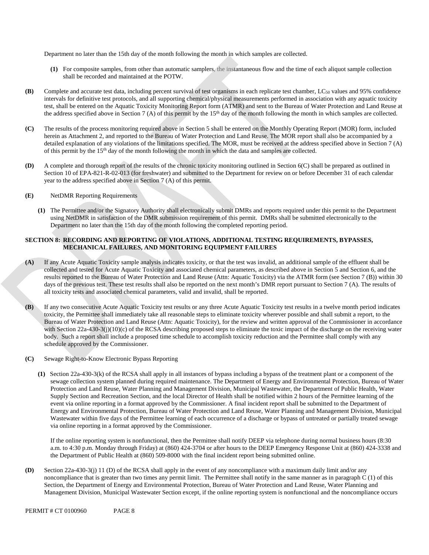Department no later than the 15th day of the month following the month in which samples are collected.

- **(1)** For composite samples, from other than automatic samplers, the instantaneous flow and the time of each aliquot sample collection shall be recorded and maintained at the POTW.
- **(B)** Complete and accurate test data, including percent survival of test organisms in each replicate test chamber, LC50 values and 95% confidence intervals for definitive test protocols, and all supporting chemical/physical measurements performed in association with any aquatic toxicity test, shall be entered on the Aquatic Toxicity Monitoring Report form (ATMR) and sent to the Bureau of Water Protection and Land Reuse at the address specified above in Section 7 (A) of this permit by the 15th day of the month following the month in which samples are collected.
- **(C)** The results of the process monitoring required above in Section 5 shall be entered on the Monthly Operating Report (MOR) form, included herein as Attachment 2, and reported to the Bureau of Water Protection and Land Reuse. The MOR report shall also be accompanied by a detailed explanation of any violations of the limitations specified. The MOR, must be received at the address specified above in Section 7 (A) of this permit by the 15th day of the month following the month in which the data and samples are collected.
- **(D)** A complete and thorough report of the results of the chronic toxicity monitoring outlined in Section 6(C) shall be prepared as outlined in Section 10 of EPA-821-R-02-013 (for freshwater) and submitted to the Department for review on or before December 31 of each calendar year to the address specified above in Section 7 (A) of this permit.
- **(E)** NetDMR Reporting Requirements
	- **(1)** The Permittee and/or the Signatory Authority shall electronically submit DMRs and reports required under this permit to the Department using NetDMR in satisfaction of the DMR submission requirement of this permit. DMRs shall be submitted electronically to the Department no later than the 15th day of the month following the completed reporting period.

### **SECTION 8: RECORDING AND REPORTING OF VIOLATIONS, ADDITIONAL TESTING REQUIREMENTS, BYPASSES, MECHANICAL FAILURES, AND MONITORING EQUIPMENT FAILURES**

- **(A)** If any Acute Aquatic Toxicity sample analysis indicates toxicity, or that the test was invalid, an additional sample of the effluent shall be collected and tested for Acute Aquatic Toxicity and associated chemical parameters, as described above in Section 5 and Section 6, and the results reported to the Bureau of Water Protection and Land Reuse (Attn: Aquatic Toxicity) via the ATMR form (see Section 7 (B)) within 30 days of the previous test. These test results shall also be reported on the next month's DMR report pursuant to Section 7 (A). The results of all toxicity tests and associated chemical parameters, valid and invalid, shall be reported.
- **(B)** If any two consecutive Acute Aquatic Toxicity test results or any three Acute Aquatic Toxicity test results in a twelve month period indicates toxicity, the Permittee shall immediately take all reasonable steps to eliminate toxicity wherever possible and shall submit a report, to the Bureau of Water Protection and Land Reuse (Attn: Aquatic Toxicity), for the review and written approval of the Commissioner in accordance with Section 22a-430-3(j)(10)(c) of the RCSA describing proposed steps to eliminate the toxic impact of the discharge on the receiving water body. Such a report shall include a proposed time schedule to accomplish toxicity reduction and the Permittee shall comply with any schedule approved by the Commissioner.
- **(C)** Sewage Right-to-Know Electronic Bypass Reporting
	- **(1)** Section 22a-430-3(k) of the RCSA shall apply in all instances of bypass including a bypass of the treatment plant or a component of the sewage collection system planned during required maintenance. The Department of Energy and Environmental Protection, Bureau of Water Protection and Land Reuse, Water Planning and Management Division, Municipal Wastewater, the Department of Public Health, Water Supply Section and Recreation Section, and the local Director of Health shall be notified within 2 hours of the Permittee learning of the event via online reporting in a format approved by the Commissioner. A final incident report shall be submitted to the Department of Energy and Environmental Protection, Bureau of Water Protection and Land Reuse, Water Planning and Management Division, Municipal Wastewater within five days of the Permittee learning of each occurrence of a discharge or bypass of untreated or partially treated sewage via online reporting in a format approved by the Commissioner.

If the online reporting system is nonfunctional, then the Permittee shall notify DEEP via telephone during normal business hours (8:30 a.m. to 4:30 p.m. Monday through Friday) at (860) 424-3704 or after hours to the DEEP Emergency Response Unit at (860) 424-3338 and the Department of Public Health at (860) 509-8000 with the final incident report being submitted online.

**(D)** Section 22a-430-3(j) 11 (D) of the RCSA shall apply in the event of any noncompliance with a maximum daily limit and/or any noncompliance that is greater than two times any permit limit. The Permittee shall notify in the same manner as in paragraph C (1) of this Section, the Department of Energy and Environmental Protection, Bureau of Water Protection and Land Reuse, Water Planning and Management Division, Municipal Wastewater Section except, if the online reporting system is nonfunctional and the noncompliance occurs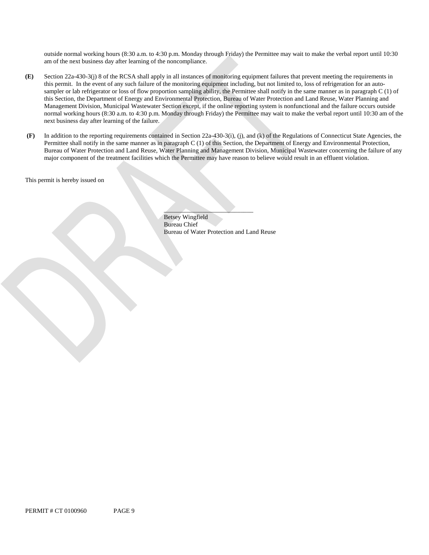outside normal working hours (8:30 a.m. to 4:30 p.m. Monday through Friday) the Permittee may wait to make the verbal report until 10:30 am of the next business day after learning of the noncompliance.

- next business day after learning of the failure. **(E)** Section 22a-430-3(j) 8 of the RCSA shall apply in all instances of monitoring equipment failures that prevent meeting the requirements in this permit. In the event of any such failure of the monitoring equipment including, but not limited to, loss of refrigeration for an autosampler or lab refrigerator or loss of flow proportion sampling ability, the Permittee shall notify in the same manner as in paragraph C (1) of this Section, the Department of Energy and Environmental Protection, Bureau of Water Protection and Land Reuse, Water Planning and Management Division, Municipal Wastewater Section except, if the online reporting system is nonfunctional and the failure occurs outside normal working hours (8:30 a.m. to 4:30 p.m. Monday through Friday) the Permittee may wait to make the verbal report until 10:30 am of the
- major component of the treatment facilities which the Permittee may have reason to believe would result in an effluent violation. **(F)**  In addition to the reporting requirements contained in Section 22a-430-3(i), (j), and (k) of the Regulations of Connecticut State Agencies, the Permittee shall notify in the same manner as in paragraph C (1) of this Section, the Department of Energy and Environmental Protection, Bureau of Water Protection and Land Reuse, Water Planning and Management Division, Municipal Wastewater concerning the failure of any

This permit is hereby issued on

Betsey Wingfield Bureau Chief Bureau of Water Protection and Land Reuse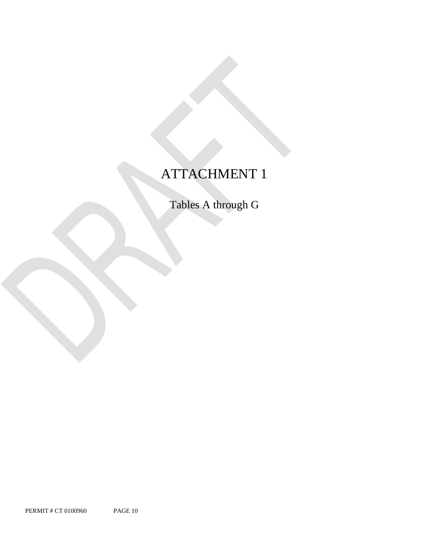## ATTACHMENT 1

Tables A through G

PERMIT # CT 0100960 PAGE 10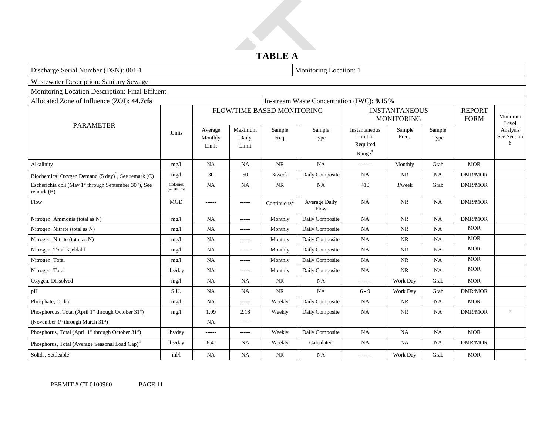### **TABLE A**

| Discharge Serial Number (DSN): 001-1                                                            |                       |                             |                           |                            | Monitoring Location: 1                     |                                                             |                                           |                |                              |                              |
|-------------------------------------------------------------------------------------------------|-----------------------|-----------------------------|---------------------------|----------------------------|--------------------------------------------|-------------------------------------------------------------|-------------------------------------------|----------------|------------------------------|------------------------------|
| <b>Wastewater Description: Sanitary Sewage</b>                                                  |                       |                             |                           |                            |                                            |                                                             |                                           |                |                              |                              |
| Monitoring Location Description: Final Effluent                                                 |                       |                             |                           |                            |                                            |                                                             |                                           |                |                              |                              |
| Allocated Zone of Influence (ZOI): 44.7cfs                                                      |                       |                             |                           |                            | In-stream Waste Concentration (IWC): 9.15% |                                                             |                                           |                |                              |                              |
| <b>PARAMETER</b>                                                                                |                       |                             |                           | FLOW/TIME BASED MONITORING |                                            |                                                             | <b>INSTANTANEOUS</b><br><b>MONITORING</b> |                | <b>REPORT</b><br><b>FORM</b> | Minimum<br>Level             |
|                                                                                                 | <b>Units</b>          | Average<br>Monthly<br>Limit | Maximum<br>Daily<br>Limit | Sample<br>Freq.            | Sample<br>type                             | Instantaneous<br>Limit or<br>Required<br>Range <sup>3</sup> | Sample<br>Freq.                           | Sample<br>Type |                              | Analysis<br>See Section<br>6 |
| Alkalinity                                                                                      | mg/l                  | NA                          | <b>NA</b>                 | <b>NR</b>                  | NA                                         | ------                                                      | Monthly                                   | Grab           | <b>MOR</b>                   |                              |
| Biochemical Oxygen Demand $(5 \text{ day})^1$ , See remark (C)                                  | mg/l                  | 30                          | 50                        | $3$ /week                  | Daily Composite                            | NA                                                          | NR                                        | <b>NA</b>      | <b>DMR/MOR</b>               |                              |
| Escherichia coli (May 1 <sup>st</sup> through September 30 <sup>th</sup> ), See<br>remark $(B)$ | Colonies<br>per100 ml | NA                          | <b>NA</b>                 | <b>NR</b>                  | NA                                         | 410                                                         | $3$ /week                                 | Grab           | <b>DMR/MOR</b>               |                              |
| Flow                                                                                            | MGD                   | ------                      | ------                    | $\mbox{Continuous}^2$      | Average Daily<br>Flow                      | <b>NA</b>                                                   | <b>NR</b>                                 | <b>NA</b>      | <b>DMR/MOR</b>               |                              |
| Nitrogen, Ammonia (total as N)                                                                  | mg/l                  | NA                          | ------                    | Monthly                    | Daily Composite                            | <b>NA</b>                                                   | <b>NR</b>                                 | NA             | <b>DMR/MOR</b>               |                              |
| Nitrogen, Nitrate (total as N)                                                                  | mg/l                  | NA                          | ------                    | Monthly                    | Daily Composite                            | <b>NA</b>                                                   | NR                                        | <b>NA</b>      | <b>MOR</b>                   |                              |
| Nitrogen, Nitrite (total as N)                                                                  | mg/l                  | <b>NA</b>                   | ------                    | Monthly                    | Daily Composite                            | <b>NA</b>                                                   | <b>NR</b>                                 | <b>NA</b>      | <b>MOR</b>                   |                              |
| Nitrogen, Total Kjeldahl                                                                        | mg/l                  | NA                          | ------                    | Monthly                    | Daily Composite                            | <b>NA</b>                                                   | NR                                        | <b>NA</b>      | <b>MOR</b>                   |                              |
| Nitrogen, Total                                                                                 | mg/l                  | NA                          | ------                    | Monthly                    | Daily Composite                            | <b>NA</b>                                                   | <b>NR</b>                                 | <b>NA</b>      | <b>MOR</b>                   |                              |
| Nitrogen, Total                                                                                 | lbs/day               | NA                          | ------                    | Monthly                    | Daily Composite                            | <b>NA</b>                                                   | NR                                        | <b>NA</b>      | <b>MOR</b>                   |                              |
| Oxygen, Dissolved                                                                               | mg/l                  | NA                          | <b>NA</b>                 | <b>NR</b>                  | <b>NA</b>                                  | ------                                                      | Work Day                                  | Grab           | <b>MOR</b>                   |                              |
| pH                                                                                              | S.U.                  | NA                          | NA                        | <b>NR</b>                  | NA                                         | $6 - 9$                                                     | Work Day                                  | Grab           | <b>DMR/MOR</b>               |                              |
| Phosphate, Ortho                                                                                | mg/l                  | <b>NA</b>                   | ------                    | Weekly                     | Daily Composite                            | <b>NA</b>                                                   | NR                                        | <b>NA</b>      | <b>MOR</b>                   |                              |
| Phosphorous, Total (April 1st through October 31st)                                             | mg/l                  | 1.09                        | 2.18                      | Weekly                     | Daily Composite                            | NA                                                          | <b>NR</b>                                 | <b>NA</b>      | <b>DMR/MOR</b>               | $\ensuremath{\mathrm{N}}$    |
| (November 1 <sup>st</sup> through March 31 <sup>st</sup> )                                      |                       | <b>NA</b>                   | ------                    |                            |                                            |                                                             |                                           |                |                              |                              |
| Phosphorus, Total (April 1 <sup>st</sup> through October 31 <sup>st</sup> )                     | lbs/day               | ------                      | ------                    | Weekly                     | Daily Composite                            | <b>NA</b>                                                   | <b>NA</b>                                 | <b>NA</b>      | <b>MOR</b>                   |                              |
| Phosphorus, Total (Average Seasonal Load Cap) <sup>4</sup>                                      | lbs/day               | 8.41                        | NA                        | Weekly                     | Calculated                                 | <b>NA</b>                                                   | NA                                        | <b>NA</b>      | <b>DMR/MOR</b>               |                              |
| Solids, Settleable                                                                              | ml/l                  | NA                          | NA                        | <b>NR</b>                  | NA                                         | ------                                                      | Work Day                                  | Grab           | <b>MOR</b>                   |                              |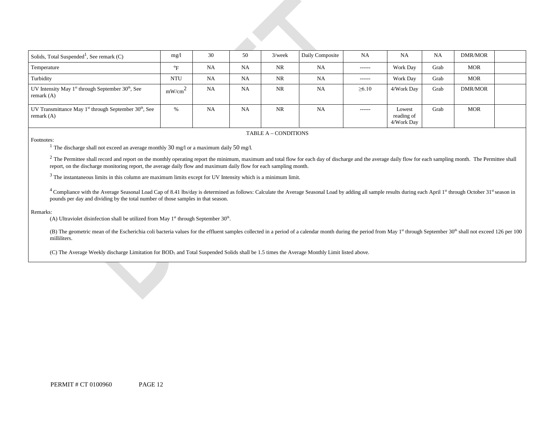| Solids, Total Suspended <sup>1</sup> , See remark $(C)$                                | mg/l               | 30        | 50        | $3$ /week | Daily Composite | <b>NA</b>     | NA                                 | NA   | DMR/MOR    |  |
|----------------------------------------------------------------------------------------|--------------------|-----------|-----------|-----------|-----------------|---------------|------------------------------------|------|------------|--|
| Temperature                                                                            | $^{\circ}$ F       | <b>NA</b> | <b>NA</b> | <b>NR</b> | <b>NA</b>       | $- - - - - -$ | <b>Work Day</b>                    | Grab | <b>MOR</b> |  |
| Turbidity                                                                              | <b>NTU</b>         | <b>NA</b> | <b>NA</b> | NR        | NA              | ------        | <b>Work Day</b>                    | Grab | <b>MOR</b> |  |
| UV Intensity May $1st$ through September 30 <sup>th</sup> , See<br>remark $(A)$        | mW/cm <sup>2</sup> | <b>NA</b> | <b>NA</b> | <b>NR</b> | NA              | $\geq 6.10$   | 4/Work Dav                         | Grab | DMR/MOR    |  |
| UV Transmittance May $1^{st}$ through September 30 <sup>th</sup> , See<br>remark $(A)$ | $\%$               | <b>NA</b> | <b>NA</b> | <b>NR</b> | <b>NA</b>       | $- - - - - -$ | Lowest<br>reading of<br>4/Work Day | Grab | <b>MOR</b> |  |

TABLE A – CONDITIONS

Footnotes:<br><sup>1</sup> The discharge shall not exceed an average monthly 30 mg/l or a maximum daily 50 mg/l.

 $^2$  The Permittee shall record and report on the monthly operating report the minimum, maximum and total flow for each day of discharge and the average daily flow for each sampling month. The Permittee shall report, on the discharge monitoring report, the average daily flow and maximum daily flow for each sampling month.

<sup>3</sup> The instantaneous limits in this column are maximum limits except for UV Intensity which is a minimum limit.

<sup>4</sup> Compliance with the Average Seasonal Load Cap of 8.41 lbs/day is determined as follows: Calculate the Average Seasonal Load by adding all sample results during each April 1<sup>st</sup> through October 31st season in pounds per day and dividing by the total number of those samples in that season.

#### Remarks:

(A) Ultraviolet disinfection shall be utilized from May  $1<sup>st</sup>$  through September 30<sup>th</sup>.

(B) The geometric mean of the Escherichia coli bacteria values for the effluent samples collected in a period of a calendar month during the period from May 1<sup>st</sup> through September 30<sup>th</sup> shall not exceed 126 per 100 milliliters.

(C) The Average Weekly discharge Limitation for BOD5 and Total Suspended Solids shall be 1.5 times the Average Monthly Limit listed above.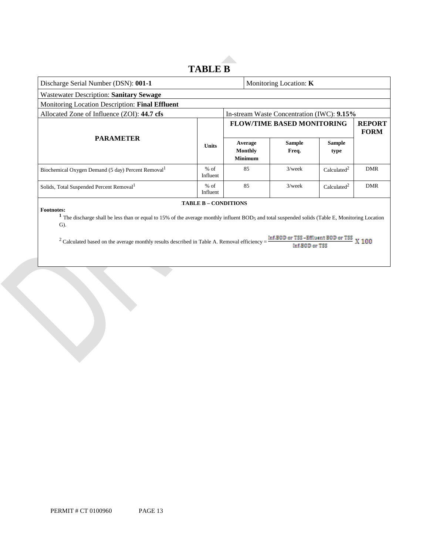### **TABLE B**

**Allen** 

| Discharge Serial Number (DSN): 001-1                                                                                                                                                                                                                                                                                                                                                                |                    |  | Monitoring Location: K                      |                                            |                         |                              |
|-----------------------------------------------------------------------------------------------------------------------------------------------------------------------------------------------------------------------------------------------------------------------------------------------------------------------------------------------------------------------------------------------------|--------------------|--|---------------------------------------------|--------------------------------------------|-------------------------|------------------------------|
| <b>Wastewater Description: Sanitary Sewage</b>                                                                                                                                                                                                                                                                                                                                                      |                    |  |                                             |                                            |                         |                              |
| Monitoring Location Description: Final Effluent                                                                                                                                                                                                                                                                                                                                                     |                    |  |                                             |                                            |                         |                              |
| Allocated Zone of Influence (ZOI): 44.7 cfs                                                                                                                                                                                                                                                                                                                                                         |                    |  |                                             | In-stream Waste Concentration (IWC): 9.15% |                         |                              |
| <b>PARAMETER</b>                                                                                                                                                                                                                                                                                                                                                                                    |                    |  |                                             | <b>FLOW/TIME BASED MONITORING</b>          |                         | <b>REPORT</b><br><b>FORM</b> |
|                                                                                                                                                                                                                                                                                                                                                                                                     | <b>Units</b>       |  | Average<br><b>Monthly</b><br><b>Minimum</b> | <b>Sample</b><br>Freq.                     | <b>Sample</b><br>type   |                              |
| Biochemical Oxygen Demand (5 day) Percent Removal <sup>1</sup>                                                                                                                                                                                                                                                                                                                                      | $%$ of<br>Influent |  | 85                                          | $3$ /week                                  | Calculated <sup>2</sup> | <b>DMR</b>                   |
| Solids, Total Suspended Percent Removal <sup>1</sup>                                                                                                                                                                                                                                                                                                                                                | $%$ of<br>Influent |  | 85                                          | $3$ /week                                  | Calculated <sup>2</sup> | <b>DMR</b>                   |
| <b>TABLE B - CONDITIONS</b><br><b>Footnotes:</b><br>The discharge shall be less than or equal to 15% of the average monthly influent BOD5 and total suspended solids (Table E, Monitoring Location<br>$\mathbf{G}$ ).<br>Inf.BOD or TSS -Effluent BOD or TSS<br>X 100<br><sup>2</sup> Calculated based on the average monthly results described in Table A. Removal efficiency =<br>Inf.BBID or TSS |                    |  |                                             |                                            |                         |                              |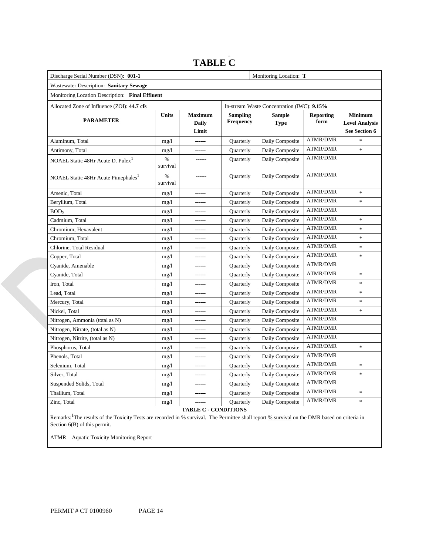#### Monitoring Location: T  Wastewater Description: **Sanitary Sewage**  Monitoring Location Description: **Final Effluent**  NOAEL Static 48Hr Acute D.  $Puler<sup>1</sup>$  % Quarterly Nitrogen, Ammonia (total as N) mg/l ------ Quarterly Daily Composite ATMR/DMR Discharge Serial Number (DSN): 001-1 Allocated Zone of Influence (ZOI): **44.7 cfs** In-stream Waste Concentration (IWC): **9.15% PARAMETER Units Maximum Daily Limit Sampling Frequency Sample Type Reporting form Minimum Level Analysis See Section 6**  Aluminum, Total mg/l mg/l ------ Quarterly Daily Composite ATMR/DMR Antimony, Total mg/l mg/l ------ Quarterly Daily Composite ATMR/DMR \* survival ----- Quarterly Daily Composite ATMR/DMR NOAEL Static 48Hr Acute Pimephales<sup>1</sup> % survival ----- Quarterly Daily Composite ATMR/DMR Arsenic, Total mg/l mg/l ------ Quarterly Daily Composite ATMR/DMR \* Beryllium, Total **and Servert and Servert Composite ATMR/DMR** \* BOD<sub>5</sub> mg/l ------ Quarterly Daily Composite ATMR/DMR Cadmium, Total mg/l ------ Quarterly Daily Composite ATMR/DMR \* Chromium, Hexavalent mg/l mg/l ------ Quarterly Daily Composite ATMR/DMR \* Chromium, Total **mg/l ------** Quarterly Daily Composite ATMR/DMR \* Chlorine, Total Residual mg/l mg/l ------ Quarterly Daily Composite ATMR/DMR \* Copper, Total mg/l ------ Quarterly Daily Composite ATMR/DMR \* Cyanide, Amenable mg/l ----- Quarterly Daily Composite ATMR/DMR Cyanide, Total mg/l mg/l ------ Quarterly Daily Composite ATMR/DMR \* Iron, Total mg/l ------ Quarterly Daily Composite ATMR/DMR \* Lead, Total 1991 mg/l ------ Quarterly Daily Composite ATMR/DMR \* Mercury, Total mg/l mg/l ------ Quarterly Daily Composite ATMR/DMR \* Nickel, Total **mg/l -----** Quarterly Daily Composite ATMR/DMR \* Nitrogen, Nitrate, (total as N) mg/l mg/l ------ Quarterly Daily Composite ATMR/DMR Nitrogen, Nitrite, (total as N) mg/l mg/l ------ Quarterly Daily Composite ATMR/DMR Phosphorus, Total mg/l ------ Quarterly Daily Composite ATMR/DMR \* Phenols, Total mg/l mg/l ------ Quarterly Daily Composite ATMR/DMR Selenium, Total 1991 ----- Quarterly Daily Composite ATMR/DMR \* Silver, Total **and the silver of the silver of the silver** of  $\blacksquare$  and  $\blacksquare$  and  $\blacksquare$  and  $\blacksquare$  and  $\blacksquare$  and  $\blacksquare$  and  $\blacksquare$  and  $\blacksquare$  and  $\blacksquare$  and  $\blacksquare$  and  $\blacksquare$  and  $\blacksquare$  and  $\blacksquare$  and  $\blacksquare$  and  $\blacksquare$ Suspended Solids, Total mg/l mg/l ------ Quarterly Daily Composite ATMR/DMR Thallium, Total mg/l mg/l ------ Quarterly Daily Composite ATMR/DMR \* Zinc, Total **mg/l ------** Quarterly Daily Composite ATMR/DMR \*

### **TABLE C**

**TABLE C - CONDITIONS** 

Remarks: <sup>1</sup>The results of the Toxicity Tests are recorded in % survival. The Permittee shall report % survival on the DMR based on criteria in Section 6(B) of this permit.

ATMR – Aquatic Toxicity Monitoring Report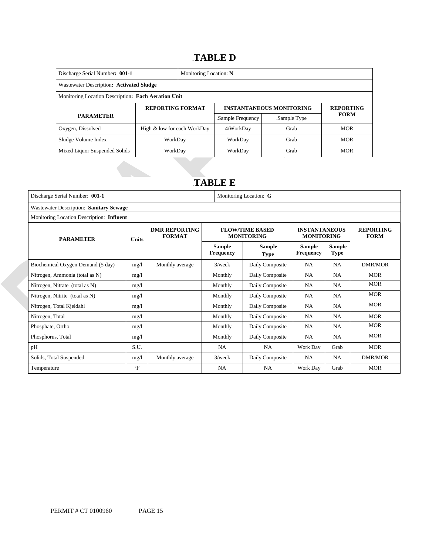### 14B**TABLE D**

| Discharge Serial Number: 001-1                      | Monitoring Location: N      |  |                                 |                  |             |  |
|-----------------------------------------------------|-----------------------------|--|---------------------------------|------------------|-------------|--|
| Wastewater Description: Activated Sludge            |                             |  |                                 |                  |             |  |
| Monitoring Location Description: Each Aeration Unit |                             |  |                                 |                  |             |  |
|                                                     | <b>REPORTING FORMAT</b>     |  | <b>INSTANTANEOUS MONITORING</b> | <b>REPORTING</b> |             |  |
| <b>PARAMETER</b>                                    |                             |  | Sample Frequency                | Sample Type      | <b>FORM</b> |  |
| Oxygen, Dissolved                                   | High & low for each WorkDay |  | 4/WorkDay                       | Grab             | <b>MOR</b>  |  |
| Sludge Volume Index                                 | WorkDay                     |  | WorkDay                         | Grab             | <b>MOR</b>  |  |
| Mixed Liquor Suspended Solids                       | WorkDay                     |  | WorkDay                         | Grab             | <b>MOR</b>  |  |

### 15B**TABLE E**

| Discharge Serial Number: 001-1            |              |                                       |                            | Monitoring Location: G                      |                                           |                              |                                 |  |
|-------------------------------------------|--------------|---------------------------------------|----------------------------|---------------------------------------------|-------------------------------------------|------------------------------|---------------------------------|--|
| Wastewater Description: Sanitary Sewage   |              |                                       |                            |                                             |                                           |                              |                                 |  |
| Monitoring Location Description: Influent |              |                                       |                            |                                             |                                           |                              |                                 |  |
| <b>PARAMETER</b>                          | Units        | <b>DMR REPORTING</b><br><b>FORMAT</b> |                            | <b>FLOW/TIME BASED</b><br><b>MONITORING</b> | <b>INSTANTANEOUS</b><br><b>MONITORING</b> |                              | <b>REPORTING</b><br><b>FORM</b> |  |
|                                           |              |                                       | Sample<br><b>Frequency</b> | Sample<br><b>Type</b>                       | Sample<br><b>Frequency</b>                | <b>Sample</b><br><b>Type</b> |                                 |  |
| Biochemical Oxygen Demand (5 day)         | mg/1         | Monthly average                       | $3$ /week                  | Daily Composite                             | <b>NA</b>                                 | <b>NA</b>                    | DMR/MOR                         |  |
| Nitrogen, Ammonia (total as N)            | mg/l         |                                       | Monthly                    | Daily Composite                             | NA                                        | <b>NA</b>                    | <b>MOR</b>                      |  |
| Nitrogen, Nitrate (total as N)            | mg/l         |                                       | Monthly                    | Daily Composite                             | <b>NA</b>                                 | <b>NA</b>                    | <b>MOR</b>                      |  |
| Nitrogen, Nitrite (total as N)            | mg/1         |                                       | Monthly                    | Daily Composite                             | <b>NA</b>                                 | <b>NA</b>                    | <b>MOR</b>                      |  |
| Nitrogen, Total Kjeldahl                  | mg/1         |                                       | Monthly                    | Daily Composite                             | NA                                        | <b>NA</b>                    | <b>MOR</b>                      |  |
| Nitrogen, Total                           | mg/1         |                                       | Monthly                    | Daily Composite                             | NA                                        | <b>NA</b>                    | <b>MOR</b>                      |  |
| Phosphate, Ortho                          | mg/l         |                                       | Monthly                    | Daily Composite                             | NA                                        | <b>NA</b>                    | <b>MOR</b>                      |  |
| Phosphorus, Total                         | mg/1         |                                       | Monthly                    | Daily Composite                             | NA                                        | <b>NA</b>                    | <b>MOR</b>                      |  |
| pН                                        | S.U.         |                                       | <b>NA</b>                  | NA.                                         | Work Day                                  | Grab                         | <b>MOR</b>                      |  |
| Solids, Total Suspended                   | mg/l         | Monthly average                       | $3$ /week                  | Daily Composite                             | <b>NA</b>                                 | <b>NA</b>                    | <b>DMR/MOR</b>                  |  |
| Temperature                               | $\mathrm{P}$ |                                       | <b>NA</b>                  | NA                                          | Work Day                                  | Grab                         | <b>MOR</b>                      |  |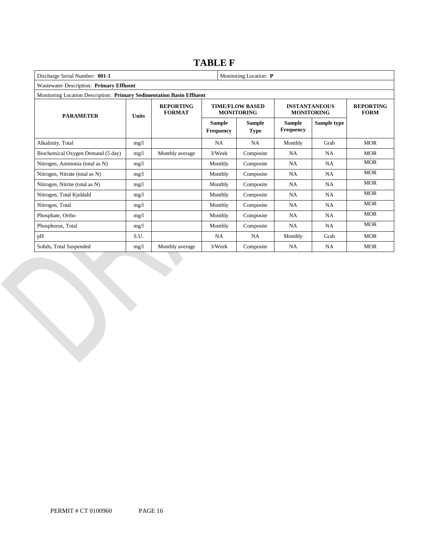### **TABLE F**

| Discharge Serial Number: 001-1<br>Monitoring Location: P              |       |                                   |                            |                                             |                                           |                                 |            |
|-----------------------------------------------------------------------|-------|-----------------------------------|----------------------------|---------------------------------------------|-------------------------------------------|---------------------------------|------------|
| Wastewater Description: Primary Effluent                              |       |                                   |                            |                                             |                                           |                                 |            |
| Monitoring Location Description: Primary Sedimentation Basin Effluent |       |                                   |                            |                                             |                                           |                                 |            |
| <b>PARAMETER</b>                                                      | Units | <b>REPORTING</b><br><b>FORMAT</b> |                            | <b>TIME/FLOW BASED</b><br><b>MONITORING</b> | <b>INSTANTANEOUS</b><br><b>MONITORING</b> | <b>REPORTING</b><br><b>FORM</b> |            |
|                                                                       |       |                                   | <b>Sample</b><br>Frequency | <b>Sample</b><br><b>Type</b>                | <b>Sample</b><br>Frequency                | Sample type                     |            |
| Alkalinity, Total                                                     | mg/1  |                                   | <b>NA</b>                  | <b>NA</b>                                   | Monthly                                   | Grab                            | <b>MOR</b> |
| Biochemical Oxygen Demand (5 day)                                     | mg/l  | Monthly average                   | 3/Week                     | Composite                                   | NA                                        | NA                              | <b>MOR</b> |
| Nitrogen, Ammonia (total as N)                                        | mg/1  |                                   | Monthly                    | Composite                                   | NA                                        | NA                              | <b>MOR</b> |
| Nitrogen, Nitrate (total as N)                                        | mg/1  |                                   | Monthly                    | Composite                                   | <b>NA</b>                                 | NA                              | <b>MOR</b> |
| Nitrogen, Nitrite (total as N)                                        | mg/1  |                                   | Monthly                    | Composite                                   | NA                                        | <b>NA</b>                       | <b>MOR</b> |
| Nitrogen, Total Kjeldahl                                              | mg/1  |                                   | Monthly                    | Composite                                   | NA                                        | <b>NA</b>                       | <b>MOR</b> |
| Nitrogen, Total                                                       | mg/1  |                                   | Monthly                    | Composite                                   | NA                                        | <b>NA</b>                       | <b>MOR</b> |
| Phosphate, Ortho                                                      | mg/1  |                                   | Monthly                    | Composite                                   | <b>NA</b>                                 | <b>NA</b>                       | <b>MOR</b> |
| Phosphorus, Total                                                     | mg/1  |                                   | Monthly                    | Composite                                   | NA                                        | <b>NA</b>                       | <b>MOR</b> |
| рH                                                                    | S.U.  |                                   | NA                         | NA                                          | Monthly                                   | Grab                            | <b>MOR</b> |
| Solids, Total Suspended                                               | mg/l  | Monthly average                   | 3/Week                     | Composite                                   | <b>NA</b>                                 | <b>NA</b>                       | <b>MOR</b> |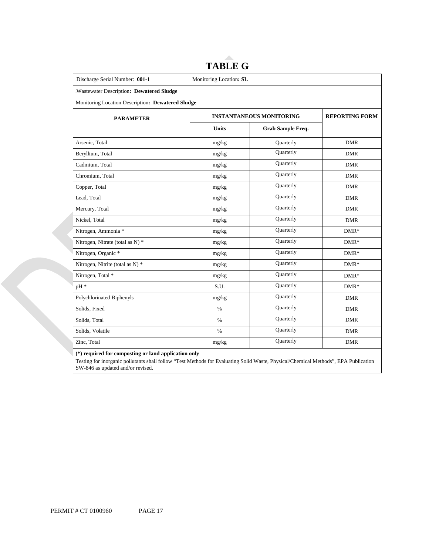| Discharge Serial Number: 001-1                    | Monitoring Location: SL         |                          |            |  |  |  |
|---------------------------------------------------|---------------------------------|--------------------------|------------|--|--|--|
| Wastewater Description: Dewatered Sludge          |                                 |                          |            |  |  |  |
| Monitoring Location Description: Dewatered Sludge |                                 |                          |            |  |  |  |
| <b>PARAMETER</b>                                  | <b>INSTANTANEOUS MONITORING</b> | <b>REPORTING FORM</b>    |            |  |  |  |
|                                                   | <b>Units</b>                    | <b>Grab Sample Freq.</b> |            |  |  |  |
| Arsenic, Total                                    | mg/kg                           | Quarterly                | <b>DMR</b> |  |  |  |
| Beryllium, Total                                  | mg/kg                           | Quarterly                | <b>DMR</b> |  |  |  |
| Cadmium, Total                                    | mg/kg                           | Quarterly                | <b>DMR</b> |  |  |  |
| Chromium, Total                                   | mg/kg                           | Quarterly                | <b>DMR</b> |  |  |  |
| Copper, Total                                     | mg/kg                           | Quarterly                | <b>DMR</b> |  |  |  |
| Lead, Total                                       | mg/kg                           | Quarterly                | <b>DMR</b> |  |  |  |
| Mercury, Total                                    | mg/kg                           | Quarterly                | <b>DMR</b> |  |  |  |
| Nickel, Total                                     | mg/kg                           | Quarterly                | <b>DMR</b> |  |  |  |
| Nitrogen, Ammonia *                               | mg/kg                           | Quarterly                | $DMR*$     |  |  |  |
| Nitrogen, Nitrate (total as N) *                  | mg/kg                           | Quarterly                | $DMR*$     |  |  |  |
| Nitrogen, Organic *                               | mg/kg                           | Quarterly                | $DMR*$     |  |  |  |
| Nitrogen, Nitrite (total as N) *                  | mg/kg                           | Quarterly                | $DMR*$     |  |  |  |
| Nitrogen, Total *                                 | mg/kg                           | Quarterly                | $DMR*$     |  |  |  |
| pH *                                              | S.U.                            | Quarterly                | $DMR*$     |  |  |  |
| Polychlorinated Biphenyls                         | mg/kg                           | Quarterly                | <b>DMR</b> |  |  |  |
| Solids, Fixed                                     | $\%$                            | Quarterly                | <b>DMR</b> |  |  |  |
| Solids, Total                                     | $\%$                            | Quarterly                | <b>DMR</b> |  |  |  |
| Solids, Volatile                                  | $\%$                            | Quarterly                | <b>DMR</b> |  |  |  |
| Zinc, Total                                       | mg/kg                           | Quarterly                | <b>DMR</b> |  |  |  |

# **TABLE G**

**(\*) required for composting or land application only** 

 Testing for inorganic pollutants shall follow "Test Methods for Evaluating Solid Waste, Physical/Chemical Methods", EPA Publication SW-846 as updated and/or revised.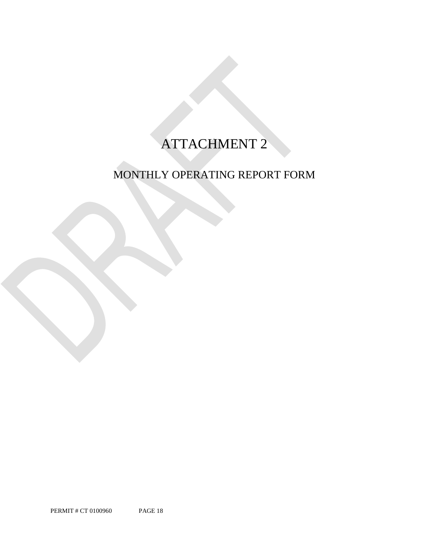## ATTACHMENT 2

## MONTHLY OPERATING REPORT FORM

PERMIT # CT 0100960 PAGE 18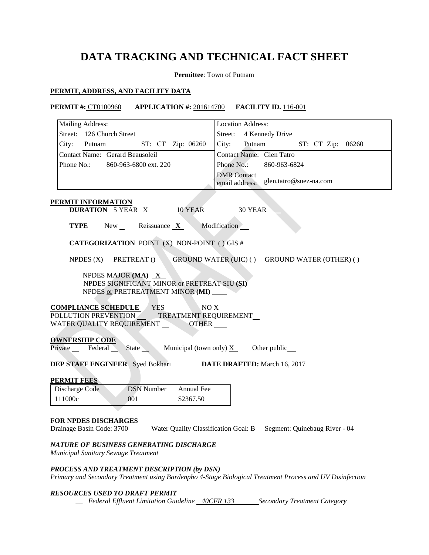### **DATA TRACKING AND TECHNICAL FACT SHEET**

**Permittee**: Town of Putnam

### **PERMIT, ADDRESS, AND FACILITY DATA**

### **PERMIT #:** CT0100960 **APPLICATION #:** 201614700 **FACILITY ID.** 116-001

| Mailing Address:                                                                                                                                       | <b>Location Address:</b>                                           |
|--------------------------------------------------------------------------------------------------------------------------------------------------------|--------------------------------------------------------------------|
| Street: 126 Church Street                                                                                                                              | 4 Kennedy Drive<br>Street:                                         |
| ST: CT Zip: 06260<br>City:<br>Putnam                                                                                                                   | City:<br>Putnam<br>ST: CT Zip: 06260                               |
| Contact Name: Gerard Beausoleil                                                                                                                        | Contact Name: Glen Tatro                                           |
| Phone No.:<br>860-963-6800 ext. 220                                                                                                                    | Phone No.:<br>860-963-6824                                         |
|                                                                                                                                                        | <b>DMR</b> Contact                                                 |
|                                                                                                                                                        | glen.tatro@suez-na.com<br>email address:                           |
| <b>PERMIT INFORMATION</b>                                                                                                                              |                                                                    |
| <b>DURATION</b> 5 YEAR $X$<br>10 YEAR __                                                                                                               | 30 YEAR                                                            |
| <b>TYPE</b><br>New<br>Reissuance $X$                                                                                                                   | Modification                                                       |
| <b>CATEGORIZATION POINT (X) NON-POINT () GIS #</b>                                                                                                     |                                                                    |
| NPDES $(X)$<br>PRETREAT ()                                                                                                                             | GROUND WATER (UIC) () GROUND WATER (OTHER) ()                      |
| NPDES MAJOR (MA) X<br>NPDES SIGNIFICANT MINOR or PRETREAT SIU (SI)<br>NPDES or PRETREATMENT MINOR (MI)                                                 |                                                                    |
| <b>COMPLIANCE SCHEDULE</b><br><b>YES</b><br>NOX<br>POLLUTION PREVENTION<br>TREATMENT REQUIREMENT<br>WATER QUALITY REQUIREMENT<br><b>OTHER</b>          |                                                                    |
| <b>OWNERSHIP CODE</b><br>State Municipal (town only) $X_$<br>Private Federal                                                                           | Other public                                                       |
| <b>DEP STAFF ENGINEER</b> Syed Bokhari                                                                                                                 | <b>DATE DRAFTED:</b> March 16, 2017                                |
| <b>PERMIT FEES</b>                                                                                                                                     |                                                                    |
| <b>DSN Number</b><br>Annual Fee<br>Discharge Code                                                                                                      |                                                                    |
| 111000c<br>001<br>\$2367.50                                                                                                                            |                                                                    |
|                                                                                                                                                        |                                                                    |
| <b>FOR NPDES DISCHARGES</b><br>Drainage Basin Code: 3700                                                                                               | Water Quality Classification Goal: B Segment: Quinebaug River - 04 |
| NATURE OF BUSINESS GENERATING DISCHARGE<br>Municipal Sanitary Sewage Treatment                                                                         |                                                                    |
| PROCESS AND TREATMENT DESCRIPTION (by DSN)<br>Primary and Secondary Treatment using Bardenpho 4-Stage Biological Treatment Process and UV Disinfection |                                                                    |

### *RESOURCES USED TO DRAFT PERMIT*

<sub>\_\_</sub> Federal Effluent Limitation Guideline <u>\_40CFR 133</u> Secondary Treatment Category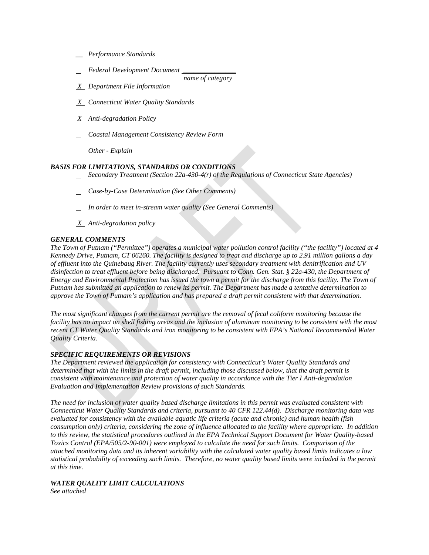- *\_\_ Performance Standards*
- *Federal Development Document \_\_\_\_\_\_\_\_\_\_\_\_\_\_\_*
- *X Department File Information*
- *X Connecticut Water Quality Standards*
- *X Anti-degradation Policy*
- *Coastal Management Consistency Review Form*
- *Other - Explain*

### *BASIS FOR LIMITATIONS, STANDARDS OR CONDITIONS*

 *Secondary Treatment (Section 22a-430-4(r) of the Regulations of Connecticut State Agencies)* 

*name of category* 

- *Case-by-Case Determination (See Other Comments)*
- *In order to meet in-stream water quality (See General Comments)*
- *X Anti-degradation policy*

### *GENERAL COMMENTS*

 *The Town of Putnam ("Permittee") operates a municipal water pollution control facility ("the facility") located at 4 of effluent into the Quinebaug River. The facility currently uses secondary treatment with denitrification and UV approve the Town of Putnam's application and has prepared a draft permit consistent with that determination. Kennedy Drive, Putnam, CT 06260. The facility is designed to treat and discharge up to 2.91 million gallons a day disinfection to treat effluent before being discharged. Pursuant to Conn. Gen. Stat. § 22a-430, the Department of Energy and Environmental Protection has issued the town a permit for the discharge from this facility. The Town of Putnam has submitted an application to renew its permit. The Department has made a tentative determination to* 

*The most significant changes from the current permit are the removal of fecal coliform monitoring because the facility has no impact on shell fishing areas and the inclusion of aluminum monitoring to be consistent with the most recent CT Water Quality Standards and iron monitoring to be consistent with EPA's National Recommended Water Quality Criteria.* 

### *SPECIFIC REQUIREMENTS OR REVISIONS*

 *Evaluation and Implementation Review provisions of such Standards. The Department reviewed the application for consistency with Connecticut's Water Quality Standards and determined that with the limits in the draft permit, including those discussed below, that the draft permit is consistent with maintenance and protection of water quality in accordance with the Tier I Anti-degradation* 

 *Connecticut Water Quality Standards and criteria, pursuant to 40 CFR 122.44(d). Discharge monitoring data was consumption only) criteria, considering the zone of influence allocated to the facility where appropriate. In addition to this review, the statistical procedures outlined in the EPA Technical Support Document for Water Quality-based at this time. The need for inclusion of water quality based discharge limitations in this permit was evaluated consistent with evaluated for consistency with the available aquatic life criteria (acute and chronic) and human health (fish Toxics Control (EPA/505/2-90-001) were employed to calculate the need for such limits. Comparison of the attached monitoring data and its inherent variability with the calculated water quality based limits indicates a low statistical probability of exceeding such limits. Therefore, no water quality based limits were included in the permit* 

### *WATER QUALITY LIMIT CALCULATIONS*

*See attached*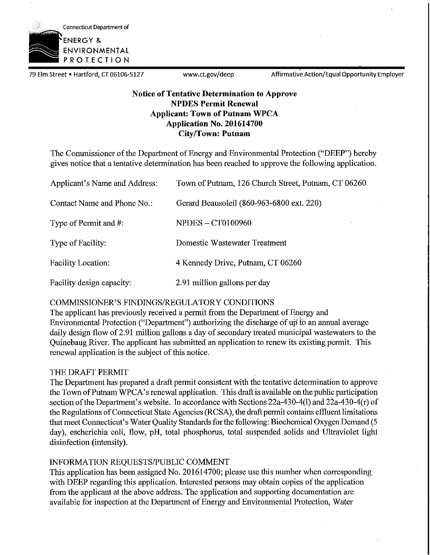

79 Elm Street • Hartford, CT 06106-5127 www.ct.gov/deep Affirmative Action/Equal Opportunity Employer

### **Notice of Tentative Determination to Approve NPDES Permit Renewal Applicant: Town of Putnam WPCA Application No. 201614700 City/Town: Putnam**

The Commissioner of the Department of Energy and Environmental Protection ("DEEP") hereby gives notice that a tentative determination has been reached to approve the following application.

| Applicant's Name and Address: | Town of Putnam, 126 Church Street, Putnam, CT 06260 |
|-------------------------------|-----------------------------------------------------|
| Contact Name and Phone No.:   | Gerard Beausoleil (860-963-6800 ext. 220)           |
| Type of Permit and #:         | <b>NPDES - CT0100960</b>                            |
| Type of Facility:             | Domestic Wastewater Treatment                       |
| Facility Location:            | 4 Kennedy Drive, Putnam, CT 06260                   |
| Facility design capacity:     | 2.91 million gallons per day                        |

### COMMISSIONER'S FINDINGS/REGULATORY CONDITIONS

The applicant has previously received a permit from the Department of Energy and Environmental Protection ("Department") authorizing the discharge of up.to an annual average daily design flow of 2.91 million gallons a day of secondary treated municipal wastewaters to the Quinebaug River. The applicant has submitted an application to renew its existing permit. This renewal application is the subject of this notice.

### THE DRAFT PERMIT

The Department has prepared a draft pennit consistent with the tentative determination to approve the Town of Putnam WPCA's renewal application. This draft is available on the public participation section of the Department's website. In accordance with Sections 22a-430-4(1) and 22a-430-4(r) of the Regulations of Connecticut State Agencies (RCSA), the draft permit contains effluent limitations that meet Connecticut's Water Quality Standards for the following: Biochemical Oxygen Demand (5 day), escherichia coli, flow, pH, total phosphorus, total suspended solids and Ultraviolet light disinfection (intensity).

### INFORMATION REQUESTS/PUBLIC COMMENT

This application has been assigned No. 201614700; please use this number when corresponding with DEEP regarding this application. Interested persons may obtain copies of the application from the applicant at the above address. The application and supporting documentation are available for inspection at the Department of Energy and Environmental Protection, Water